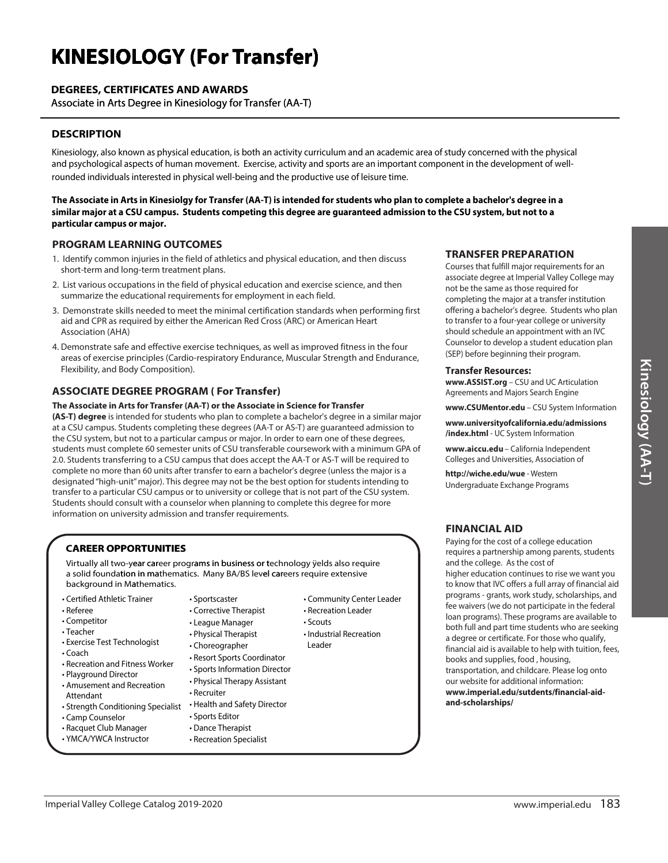# **KINESIOLOGY (For Transfer)**

# **DEGREES, CERTIFICATES AND AWARDS**

Associate in Arts Degree in Kinesiology for Transfer (AA-T)

## **DESCRIPTION**

Kinesiology, also known as physical education, is both an activity curriculum and an academic area of study concerned with the physical and psychological aspects of human movement. Exercise, activity and sports are an important component in the development of wellrounded individuals interested in physical well-being and the productive use of leisure time.

The Associate in Arts in Kinesiolgy for Transfer (AA-T) is intended for students who plan to complete a bachelor's degree in a similar major at a CSU campus. Students competing this degree are guaranteed admission to the CSU system, but not to a particular campus or major.

#### **PROGRAM LEARNING OUTCOMES**

- 1. Identify common injuries in the field of athletics and physical education, and then discuss short-term and long-term treatment plans.
- 2. List various occupations in the field of physical education and exercise science, and then summarize the educational requirements for employment in each field.
- 3. Demonstrate skills needed to meet the minimal certification standards when performing first aid and CPR as required by either the American Red Cross (ARC) or American Heart Association (AHA)
- 4. Demonstrate safe and effective exercise techniques, as well as improved fitness in the four areas of exercise principles (Cardio-respiratory Endurance, Muscular Strength and Endurance, Flexibility, and Body Composition).

### **ASSOCIATE DEGREE PROGRAM (For Transfer)**

#### The Associate in Arts for Transfer (AA-T) or the Associate in Science for Transfer

(AS-T) degree is intended for students who plan to complete a bachelor's degree in a similar major at a CSU campus. Students completing these degrees (AA-T or AS-T) are guaranteed admission to the CSU system, but not to a particular campus or major. In order to earn one of these degrees, students must complete 60 semester units of CSU transferable coursework with a minimum GPA of 2.0. Students transferring to a CSU campus that does accept the AA-T or AS-T will be required to complete no more than 60 units after transfer to earn a bachelor's degree (unless the major is a designated "high-unit" major). This degree may not be the best option for students intending to transfer to a particular CSU campus or to university or college that is not part of the CSU system. Students should consult with a counselor when planning to complete this degree for more information on university admission and transfer requirements.

### **CAREER OPPORTUNITIES**

Virtually all two-year career programs in business or technology yelds also require a solid foundation in mathematics. Many BA/BS level careers require extensive background in Mathematics.

- Certified Athletic Trainer
- Referee
- Competitor
- Teacher
- Exercise Test Technologist
- $\cdot$  Coach
- Recreation and Fitness Worker
- Plavaround Director
- Amusement and Recreation Attendant

Imperial Valley College Catalog 2019-2020

- Strength Conditioning Specialist
- Camp Counselor
- Racquet Club Manager
- · YMCA/YWCA Instructor
- · Sportscaster
- Corrective Therapist
- League Manager
- Physical Therapist
- Choreographer
- 
- 
- Physical Therapy Assistant
- Recruiter
	-
- 
- 
- 
- Community Center Leader
- Recreation Leader · Scouts
- - Industrial Recreation Leader
- Resort Sports Coordinator
- Sports Information Director
	-
- 
- · Sports Editor
- Dance Therapist
- 
- 
- 
- Health and Safety Director
	-
- 
- Recreation Specialist

# **TRANSFER PREPARATION**

Courses that fulfill major requirements for an associate degree at Imperial Valley College may not be the same as those required for completing the major at a transfer institution offering a bachelor's degree. Students who plan to transfer to a four-year college or university should schedule an appointment with an IVC Counselor to develop a student education plan (SEP) before beginning their program.

#### **Transfer Resources:**

www.ASSIST.org - CSU and UC Articulation Agreements and Majors Search Engine

www.CSUMentor.edu - CSU System Information

www.universityofcalifornia.edu/admissions /index.html - UC System Information

www.aiccu.edu - California Independent Colleges and Universities, Association of

http://wiche.edu/wue - Western Undergraduate Exchange Programs

### **FINANCIAL AID**

Paying for the cost of a college education requires a partnership among parents, students and the college. As the cost of

higher education continues to rise we want you to know that IVC offers a full array of financial aid programs - grants, work study, scholarships, and fee waivers (we do not participate in the federal loan programs). These programs are available to both full and part time students who are seeking a degree or certificate. For those who qualify, financial aid is available to help with tuition, fees, books and supplies, food, housing, transportation, and childcare. Please log onto our website for additional information: www.imperial.edu/sutdents/financial-aidand-scholarships/